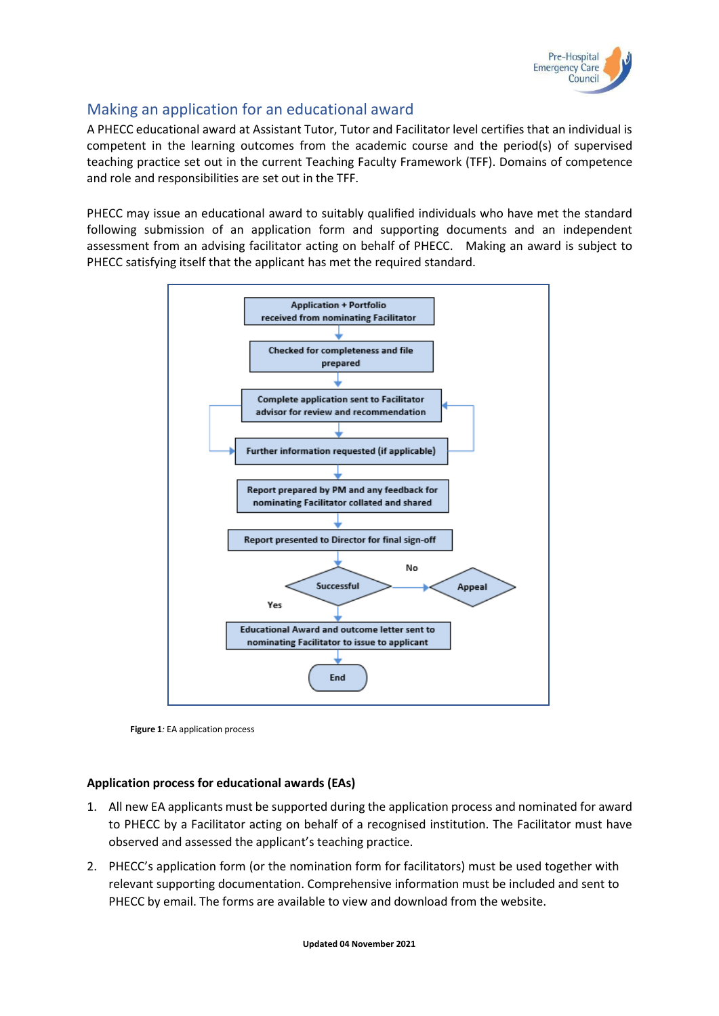

## Making an application for an educational award

A PHECC educational award at Assistant Tutor, Tutor and Facilitator level certifies that an individual is competent in the learning outcomes from the academic course and the period(s) of supervised teaching practice set out in the current Teaching Faculty Framework (TFF). Domains of competence and role and responsibilities are set out in the TFF.

PHECC may issue an educational award to suitably qualified individuals who have met the standard following submission of an application form and supporting documents and an independent assessment from an advising facilitator acting on behalf of PHECC. Making an award is subject to PHECC satisfying itself that the applicant has met the required standard.





## **Application process for educational awards (EAs)**

- 1. All new EA applicants must be supported during the application process and nominated for award to PHECC by a Facilitator acting on behalf of a recognised institution. The Facilitator must have observed and assessed the applicant's teaching practice.
- 2. PHECC's application form (or the nomination form for facilitators) must be used together with relevant supporting documentation. Comprehensive information must be included and sent to PHECC by email. The forms are available to view and download from the website.

**Updated 04 November 2021**